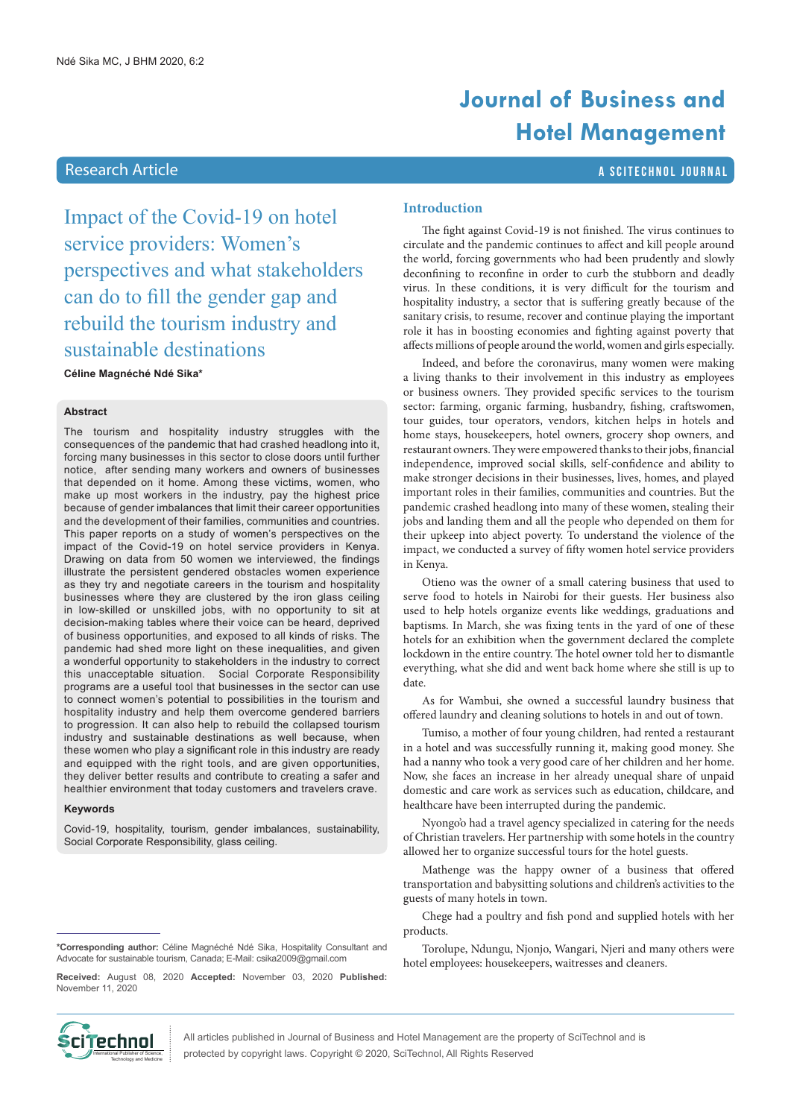<span id="page-0-0"></span>Impact of the Covid-19 on hotel service providers: Women's perspectives and what stakeholders can do to fill the gender gap and rebuild the tourism industry and sustainable destinations **Céline Magnéché Ndé Sika\***

#### **Abstract**

The tourism and hospitality industry struggles with the consequences of the pandemic that had crashed headlong into it, forcing many businesses in this sector to close doors until further notice, after sending many workers and owners of businesses that depended on it home. Among these victims, women, who make up most workers in the industry, pay the highest price because of gender imbalances that limit their career opportunities and the development of their families, communities and countries. This paper reports on a study of women's perspectives on the impact of the Covid-19 on hotel service providers in Kenya. Drawing on data from 50 women we interviewed, the findings illustrate the persistent gendered obstacles women experience as they try and negotiate careers in the tourism and hospitality businesses where they are clustered by the iron glass ceiling in low-skilled or unskilled jobs, with no opportunity to sit at decision-making tables where their voice can be heard, deprived of business opportunities, and exposed to all kinds of risks. The pandemic had shed more light on these inequalities, and given a wonderful opportunity to stakeholders in the industry to correct this unacceptable situation. Social Corporate Responsibility programs are a useful tool that businesses in the sector can use to connect women's potential to possibilities in the tourism and hospitality industry and help them overcome gendered barriers to progression. It can also help to rebuild the collapsed tourism industry and sustainable destinations as well because, when these women who play a significant role in this industry are ready and equipped with the right tools, and are given opportunities, they deliver better results and contribute to creating a safer and healthier environment that today customers and travelers crave.

#### **Keywords**

Covid-19, hospitality, tourism, gender imbalances, sustainability, Social Corporate Responsibility, glass ceiling.

#### **\*Corresponding author:** Céline Magnéché Ndé Sika, Hospitality Consultant and Advocate for sustainable tourism, Canada; E-Mail: csika2009@gmail.com

**Received:** August 08, 2020 **Accepted:** November 03, 2020 **Published:** November 11, 2020

# **Journal of Business and Hotel Management**

## Research Article a Scitter and Science and Science and Science and Science and Scitter and Scitters and Scitte

#### **Introduction**

The fight against Covid-19 is not finished. The virus continues to circulate and the pandemic continues to affect and kill people around the world, forcing governments who had been prudently and slowly deconfining to reconfine in order to curb the stubborn and deadly virus. In these conditions, it is very difficult for the tourism and hospitality industry, a sector that is suffering greatly because of the sanitary crisis, to resume, recover and continue playing the important role it has in boosting economies and fighting against poverty that affects millions of people around the world, women and girls especially.

Indeed, and before the coronavirus, many women were making a living thanks to their involvement in this industry as employees or business owners. They provided specific services to the tourism sector: farming, organic farming, husbandry, fishing, craftswomen, tour guides, tour operators, vendors, kitchen helps in hotels and home stays, housekeepers, hotel owners, grocery shop owners, and restaurant owners. They were empowered thanks to their jobs, financial independence, improved social skills, self-confidence and ability to make stronger decisions in their businesses, lives, homes, and played important roles in their families, communities and countries. But the pandemic crashed headlong into many of these women, stealing their jobs and landing them and all the people who depended on them for their upkeep into abject poverty. To understand the violence of the impact, we conducted a survey of fifty women hotel service providers in Kenya.

Otieno was the owner of a small catering business that used to serve food to hotels in Nairobi for their guests. Her business also used to help hotels organize events like weddings, graduations and baptisms. In March, she was fixing tents in the yard of one of these hotels for an exhibition when the government declared the complete lockdown in the entire country. The hotel owner told her to dismantle everything, what she did and went back home where she still is up to date.

As for Wambui, she owned a successful laundry business that offered laundry and cleaning solutions to hotels in and out of town.

Tumiso, a mother of four young children, had rented a restaurant in a hotel and was successfully running it, making good money. She had a nanny who took a very good care of her children and her home. Now, she faces an increase in her already unequal share of unpaid domestic and care work as services such as education, childcare, and healthcare have been interrupted during the pandemic.

Nyongo'o had a travel agency specialized in catering for the needs of Christian travelers. Her partnership with some hotels in the country allowed her to organize successful tours for the hotel guests.

Mathenge was the happy owner of a business that offered transportation and babysitting solutions and children's activities to the guests of many hotels in town.

Chege had a poultry and fish pond and supplied hotels with her products.

Torolupe, Ndungu, Njonjo, Wangari, Njeri and many others were hotel employees: housekeepers, waitresses and cleaners.



All articles published in Journal of Business and Hotel Management are the property of SciTechnol and is protected by copyright laws. Copyright © 2020, SciTechnol, All Rights Reserved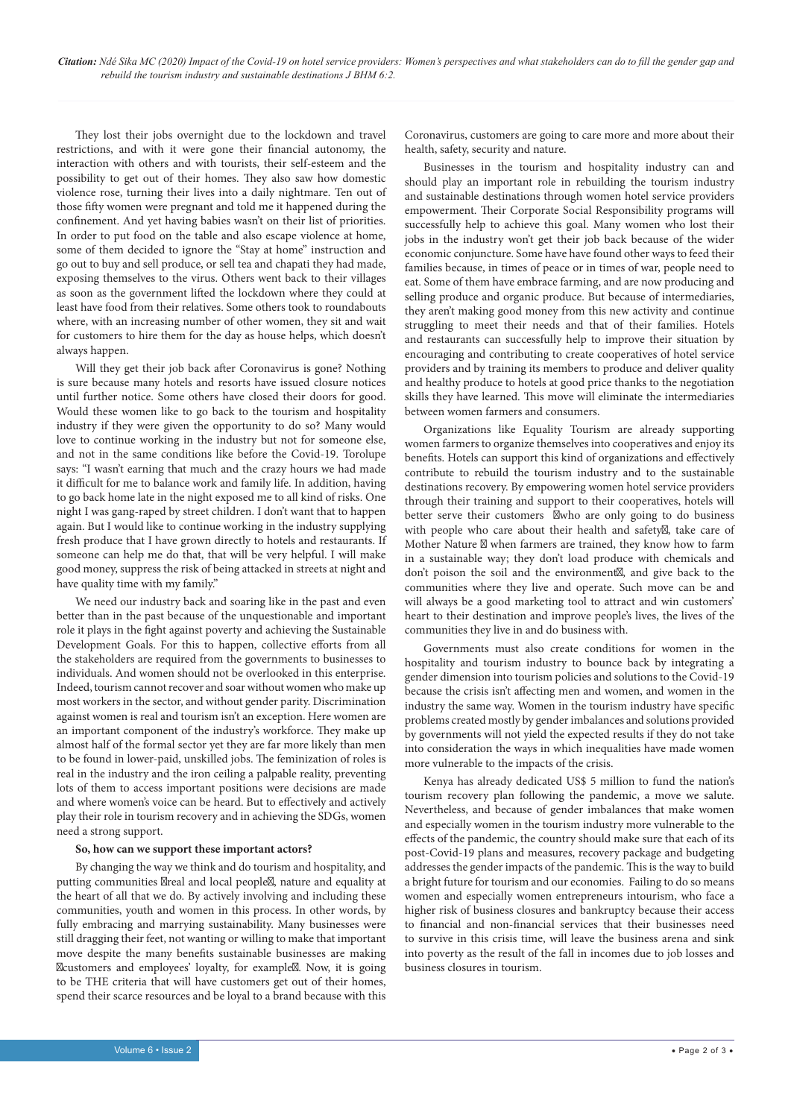They lost their jobs overnight due to the lockdown and travel restrictions, and with it were gone their financial autonomy, the interaction with others and with tourists, their self-esteem and the possibility to get out of their homes. They also saw how domestic violence rose, turning their lives into a daily nightmare. Ten out of those fifty women were pregnant and told me it happened during the confinement. And yet having babies wasn't on their list of priorities. In order to put food on the table and also escape violence at home, some of them decided to ignore the "Stay at home" instruction and go out to buy and sell produce, or sell tea and chapati they had made, exposing themselves to the virus. Others went back to their villages as soon as the government lifted the lockdown where they could at least have food from their relatives. Some others took to roundabouts where, with an increasing number of other women, they sit and wait for customers to hire them for the day as house helps, which doesn't always happen.

Will they get their job back after Coronavirus is gone? Nothing is sure because many hotels and resorts have issued closure notices until further notice. Some others have closed their doors for good. Would these women like to go back to the tourism and hospitality industry if they were given the opportunity to do so? Many would love to continue working in the industry but not for someone else, and not in the same conditions like before the Covid-19. Torolupe says: "I wasn't earning that much and the crazy hours we had made it difficult for me to balance work and family life. In addition, having to go back home late in the night exposed me to all kind of risks. One night I was gang-raped by street children. I don't want that to happen again. But I would like to continue working in the industry supplying fresh produce that I have grown directly to hotels and restaurants. If someone can help me do that, that will be very helpful. I will make good money, suppress the risk of being attacked in streets at night and have quality time with my family."

We need our industry back and soaring like in the past and even better than in the past because of the unquestionable and important role it plays in the fight against poverty and achieving the Sustainable Development Goals. For this to happen, collective efforts from all the stakeholders are required from the governments to businesses to individuals. And women should not be overlooked in this enterprise. Indeed, tourism cannot recover and soar without women who make up most workers in the sector, and without gender parity. Discrimination against women is real and tourism isn't an exception. Here women are an important component of the industry's workforce. They make up almost half of the formal sector yet they are far more likely than men to be found in lower-paid, unskilled jobs. The feminization of roles is real in the industry and the iron ceiling a palpable reality, preventing lots of them to access important positions were decisions are made and where women's voice can be heard. But to effectively and actively play their role in tourism recovery and in achieving the SDGs, women need a strong support.

#### **So, how can we support these important actors?**

By changing the way we think and do tourism and hospitality, and putting communities real and local people, nature and equality at the heart of all that we do. By actively involving and including these communities, youth and women in this process. In other words, by fully embracing and marrying sustainability. Many businesses were still dragging their feet, not wanting or willing to make that important move despite the many benefits sustainable businesses are making customers and employees' loyalty, for example. Now, it is going to be THE criteria that will have customers get out of their homes, spend their scarce resources and be loyal to a brand because with this

Coronavirus, customers are going to care more and more about their health, safety, security and nature.

Businesses in the tourism and hospitality industry can and should play an important role in rebuilding the tourism industry and sustainable destinations through women hotel service providers empowerment. Their Corporate Social Responsibility programs will successfully help to achieve this goal. Many women who lost their jobs in the industry won't get their job back because of the wider economic conjuncture. Some have have found other ways to feed their families because, in times of peace or in times of war, people need to eat. Some of them have embrace farming, and are now producing and selling produce and organic produce. But because of intermediaries, they aren't making good money from this new activity and continue struggling to meet their needs and that of their families. Hotels and restaurants can successfully help to improve their situation by encouraging and contributing to create cooperatives of hotel service providers and by training its members to produce and deliver quality and healthy produce to hotels at good price thanks to the negotiation skills they have learned. This move will eliminate the intermediaries between women farmers and consumers.

Organizations like Equality Tourism are already supporting women farmers to organize themselves into cooperatives and enjoy its benefits. Hotels can support this kind of organizations and effectively contribute to rebuild the tourism industry and to the sustainable destinations recovery. By empowering women hotel service providers through their training and support to their cooperatives, hotels will better serve their customers who are only going to do business with people who care about their health and safety, take care of Mother Nature when farmers are trained, they know how to farm in a sustainable way; they don't load produce with chemicals and don't poison the soil and the environment, and give back to the communities where they live and operate. Such move can be and will always be a good marketing tool to attract and win customers' heart to their destination and improve people's lives, the lives of the communities they live in and do business with.

Governments must also create conditions for women in the hospitality and tourism industry to bounce back by integrating a gender dimension into tourism policies and solutions to the Covid-19 because the crisis isn't affecting men and women, and women in the industry the same way. Women in the tourism industry have specific problems created mostly by gender imbalances and solutions provided by governments will not yield the expected results if they do not take into consideration the ways in which inequalities have made women more vulnerable to the impacts of the crisis.

Kenya has already dedicated US\$ 5 million to fund the nation's tourism recovery plan following the pandemic, a move we salute. Nevertheless, and because of gender imbalances that make women and especially women in the tourism industry more vulnerable to the effects of the pandemic, the country should make sure that each of its post-Covid-19 plans and measures, recovery package and budgeting addresses the gender impacts of the pandemic. This is the way to build a bright future for tourism and our economies. Failing to do so means women and especially women entrepreneurs intourism, who face a higher risk of business closures and bankruptcy because their access to financial and non-financial services that their businesses need to survive in this crisis time, will leave the business arena and sink into poverty as the result of the fall in incomes due to job losses and business closures in tourism.